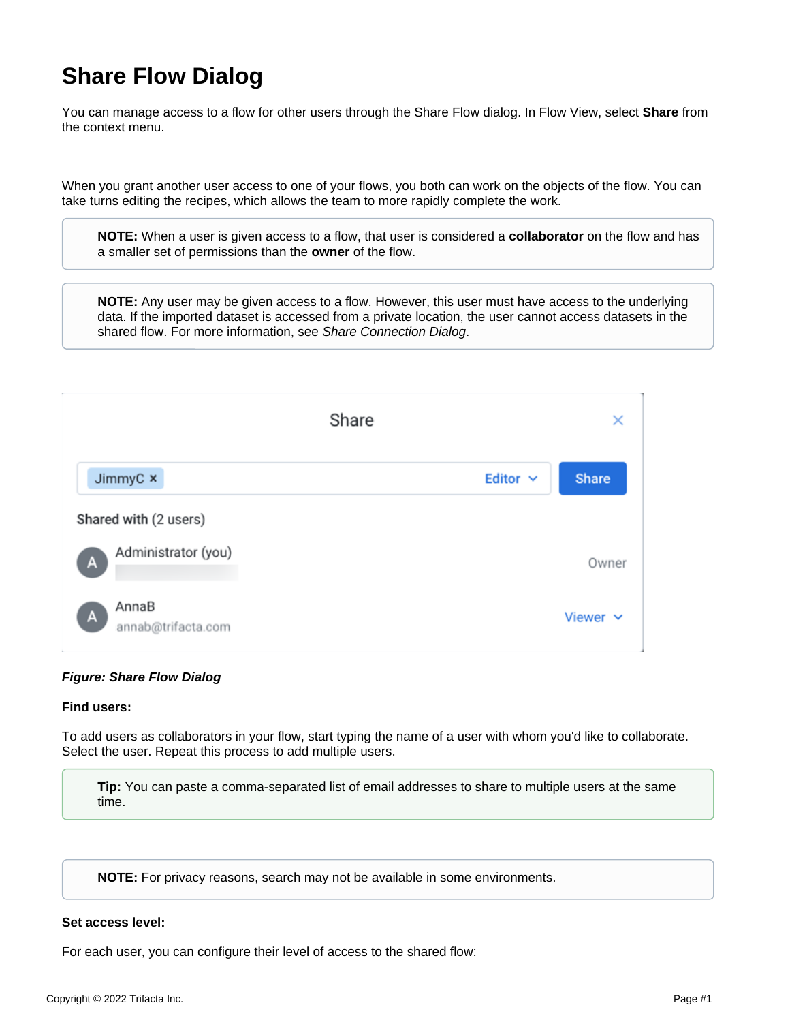## **Share Flow Dialog**

You can manage access to a flow for other users through the Share Flow dialog. In Flow View, select **Share** from the context menu.

When you grant another user access to one of your flows, you both can work on the objects of the flow. You can take turns editing the recipes, which allows the team to more rapidly complete the work.

**NOTE:** When a user is given access to a flow, that user is considered a **collaborator** on the flow and has a smaller set of permissions than the **owner** of the flow.

**NOTE:** Any user may be given access to a flow. However, this user must have access to the underlying data. If the imported dataset is accessed from a private location, the user cannot access datasets in the shared flow. For more information, see [Share Connection Dialog](https://docs.trifacta.com/display/AWS/Share+Connection+Dialog).



## **Figure: Share Flow Dialog**

## **Find users:**

To add users as collaborators in your flow, start typing the name of a user with whom you'd like to collaborate. Select the user. Repeat this process to add multiple users.

**Tip:** You can paste a comma-separated list of email addresses to share to multiple users at the same time.

**NOTE:** For privacy reasons, search may not be available in some environments.

## **Set access level:**

For each user, you can configure their level of access to the shared flow: